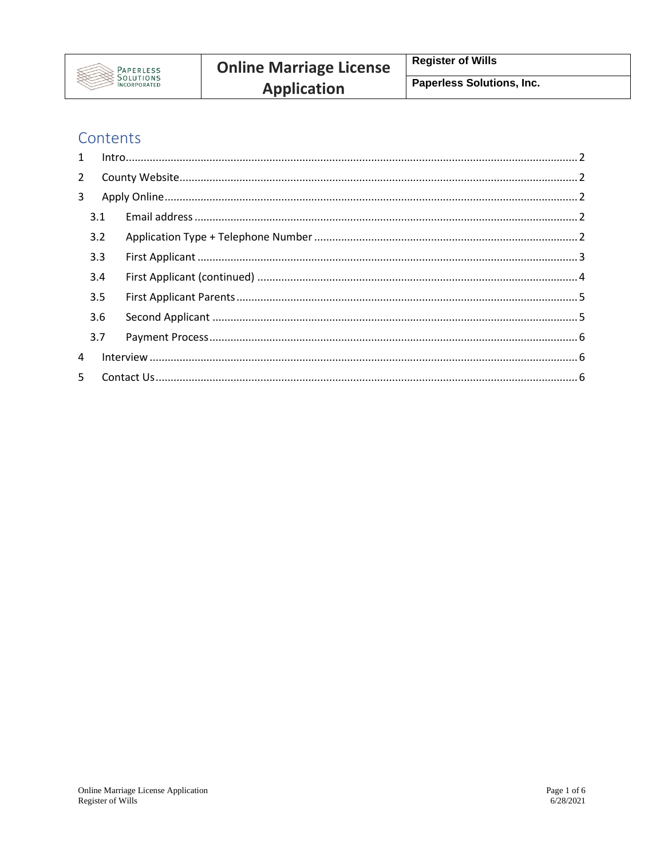

# Contents

| $\mathbf{1}$ |     |  |
|--------------|-----|--|
| $2^{\circ}$  |     |  |
| 3            |     |  |
|              | 3.1 |  |
|              | 3.2 |  |
|              | 3.3 |  |
|              | 3.4 |  |
|              | 3.5 |  |
|              | 3.6 |  |
|              | 3.7 |  |
| 4            |     |  |
| 5.           |     |  |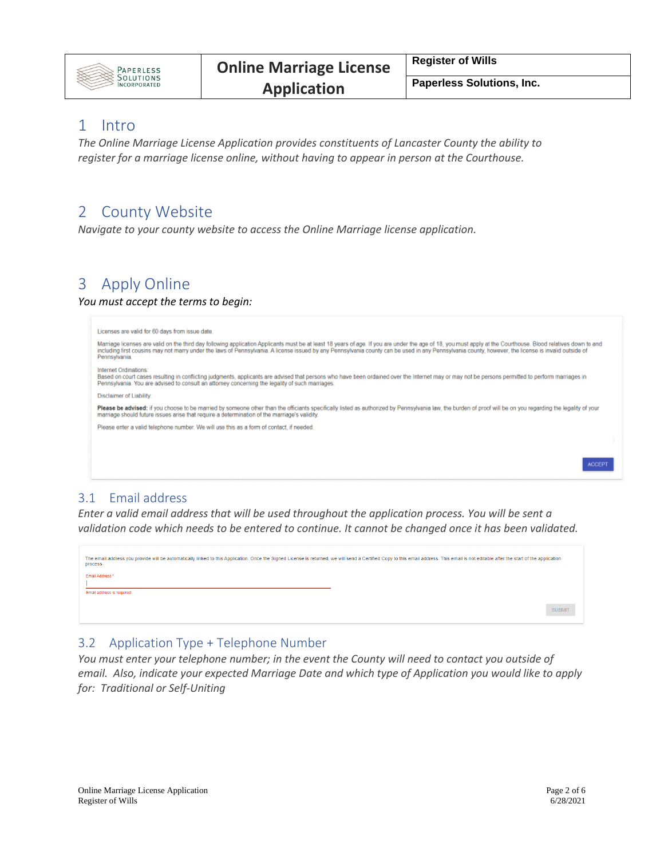

**Paperless Solutions, Inc.**

## <span id="page-1-0"></span>1 Intro

*The Online Marriage License Application provides constituents of Lancaster County the ability to register for a marriage license online, without having to appear in person at the Courthouse.* 

## <span id="page-1-1"></span>2 County Website

*Navigate to your county website to access the Online Marriage license application.* 

# <span id="page-1-2"></span>3 Apply Online

#### *You must accept the terms to begin:*

| Licenses are valid for 60 days from issue date.                                                                                                                                                                                                                                                                                                                                                                                        |
|----------------------------------------------------------------------------------------------------------------------------------------------------------------------------------------------------------------------------------------------------------------------------------------------------------------------------------------------------------------------------------------------------------------------------------------|
| Marriage licenses are valid on the third day following application Applicants must be at least 18 years of age. If you are under the age of 18, you must apply at the Courthouse. Blood relatives down to and<br>including first cousins may not marry under the laws of Pennsylvania. A license issued by any Pennsylvania county can be used in any Pennsylvania county, however, the license is invalid outside of<br>Pennsylvania. |
| Internet Ordinations:<br>Based on court cases resulting in conflicting judgments, applicants are advised that persons who have been ordained over the Internet may or may not be persons permitted to perform marriages in<br>Pennsylvania. You are advised to consult an attorney concerning the legality of such marriages.                                                                                                          |
| Disclaimer of Liability:                                                                                                                                                                                                                                                                                                                                                                                                               |
| Please be advised: if you choose to be married by someone other than the officiants specifically listed as authorized by Pennsylvania law, the burden of proof will be on you regarding the legality of your<br>marriage should future issues arise that require a determination of the marriage's validity.                                                                                                                           |
| Please enter a valid telephone number. We will use this as a form of contact, if needed.                                                                                                                                                                                                                                                                                                                                               |
|                                                                                                                                                                                                                                                                                                                                                                                                                                        |
|                                                                                                                                                                                                                                                                                                                                                                                                                                        |
|                                                                                                                                                                                                                                                                                                                                                                                                                                        |
|                                                                                                                                                                                                                                                                                                                                                                                                                                        |

#### <span id="page-1-3"></span>3.1 Email address

*Enter a valid email address that will be used throughout the application process. You will be sent a validation code which needs to be entered to continue. It cannot be changed once it has been validated.*



#### <span id="page-1-4"></span>3.2 Application Type + Telephone Number

*You must enter your telephone number; in the event the County will need to contact you outside of email. Also, indicate your expected Marriage Date and which type of Application you would like to apply for: Traditional or Self-Uniting*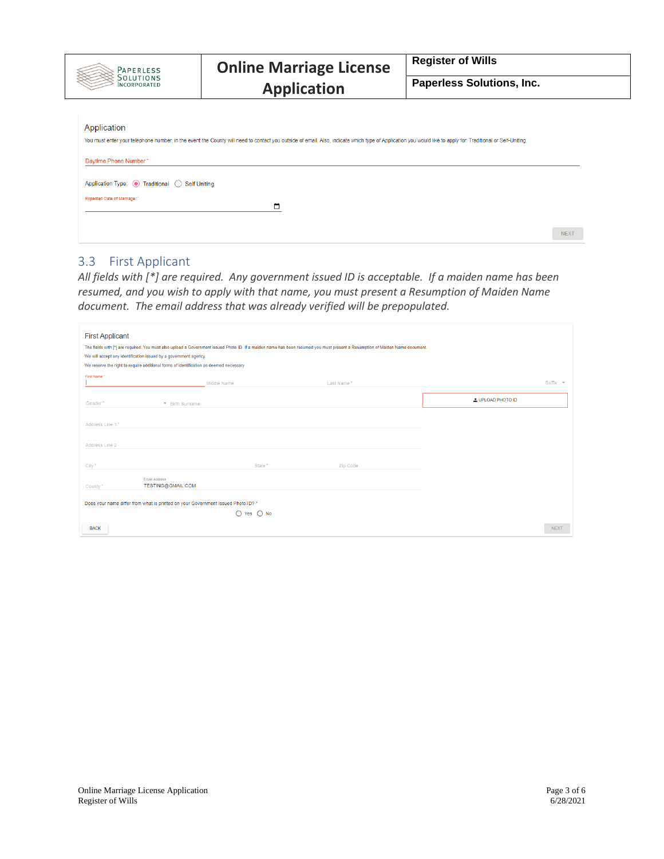

# **Application**

**Paperless Solutions, Inc.**

| Application<br>You must enter your telephone number, in the event the County will need to contact you outside of email. Also, indicate which type of Application you would like to apply for: Traditional or Self-Uniting. |             |
|----------------------------------------------------------------------------------------------------------------------------------------------------------------------------------------------------------------------------|-------------|
| Daytime Phone Number*                                                                                                                                                                                                      |             |
| Application Type: (a) Traditional (C) Self Uniting                                                                                                                                                                         |             |
| Expected Date of Marriage:                                                                                                                                                                                                 |             |
|                                                                                                                                                                                                                            | <b>NEXT</b> |

## <span id="page-2-0"></span>3.3 First Applicant

*All fields with [\*] are required. Any government issued ID is acceptable. If a maiden name has been resumed, and you wish to apply with that name, you must present a Resumption of Maiden Name document. The email address that was already verified will be prepopulated.* 

| <b>First Applicant</b><br>The fields with [*] are required. You must also upload a Government issued Photo ID. If a maiden name has been resumed you must present a Resumption of Maiden Name document.<br>We will accept any identification issued by a government agency.<br>We reserve the right to require additional forms of identification as deemed necessary |                                                                                  |                |            |                  |             |
|-----------------------------------------------------------------------------------------------------------------------------------------------------------------------------------------------------------------------------------------------------------------------------------------------------------------------------------------------------------------------|----------------------------------------------------------------------------------|----------------|------------|------------------|-------------|
| First Name *                                                                                                                                                                                                                                                                                                                                                          |                                                                                  | Middle Name    | Last Name* |                  | Suffix -    |
|                                                                                                                                                                                                                                                                                                                                                                       |                                                                                  |                |            |                  |             |
| Gender*                                                                                                                                                                                                                                                                                                                                                               | * Birth Surname                                                                  |                |            | LUPLOAD PHOTO ID |             |
|                                                                                                                                                                                                                                                                                                                                                                       |                                                                                  |                |            |                  |             |
| Address Line 1*                                                                                                                                                                                                                                                                                                                                                       |                                                                                  |                |            |                  |             |
|                                                                                                                                                                                                                                                                                                                                                                       |                                                                                  |                |            |                  |             |
| Address Line 2                                                                                                                                                                                                                                                                                                                                                        |                                                                                  |                |            |                  |             |
|                                                                                                                                                                                                                                                                                                                                                                       |                                                                                  |                |            |                  |             |
| City *                                                                                                                                                                                                                                                                                                                                                                |                                                                                  | State*         | Zip Code   |                  |             |
| County*                                                                                                                                                                                                                                                                                                                                                               | Email Address<br>TESTING@GMAIL.COM                                               |                |            |                  |             |
|                                                                                                                                                                                                                                                                                                                                                                       |                                                                                  |                |            |                  |             |
|                                                                                                                                                                                                                                                                                                                                                                       | Does your name differ from what is printed on your Government Issued Photo ID? * |                |            |                  |             |
|                                                                                                                                                                                                                                                                                                                                                                       |                                                                                  | $O$ Yes $O$ No |            |                  |             |
| <b>BACK</b>                                                                                                                                                                                                                                                                                                                                                           |                                                                                  |                |            |                  | <b>NEXT</b> |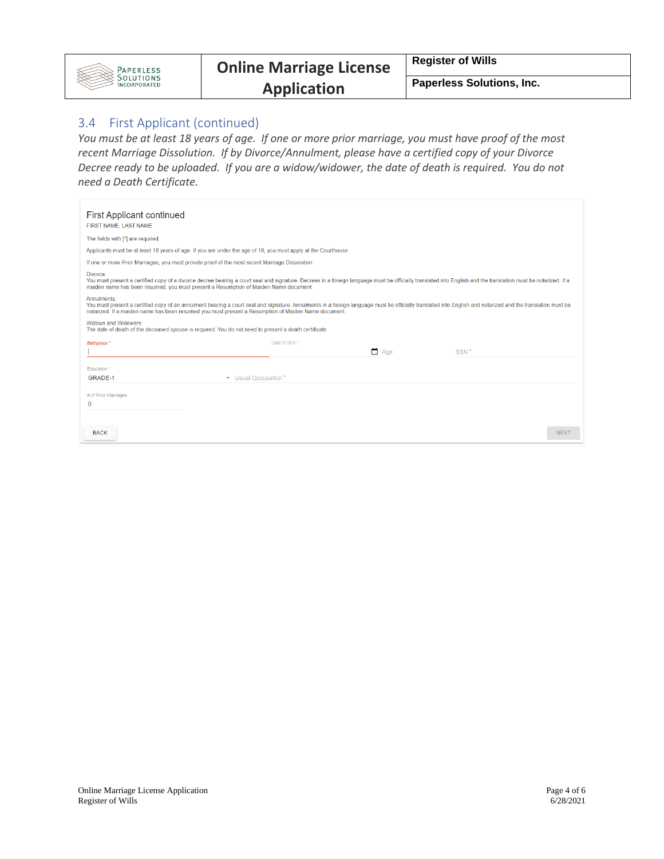

#### **Paperless Solutions, Inc.**

#### <span id="page-3-0"></span>3.4 First Applicant (continued)

*You must be at least 18 years of age. If one or more prior marriage, you must have proof of the most recent Marriage Dissolution. If by Divorce/Annulment, please have a certified copy of your Divorce Decree ready to be uploaded. If you are a widow/widower, the date of death is required. You do not need a Death Certificate.* 

| <b>First Applicant continued</b><br>FIRST NAME, LAST NAME                                                                                                                                                                                                                                                                         |
|-----------------------------------------------------------------------------------------------------------------------------------------------------------------------------------------------------------------------------------------------------------------------------------------------------------------------------------|
| The fields with [*] are required.                                                                                                                                                                                                                                                                                                 |
| Applicants must be at least 18 years of age. If you are under the age of 18, you must apply at the Courthouse                                                                                                                                                                                                                     |
| If one or more Prior Marriages, you must provide proof of the most recent Marriage Dissolution.                                                                                                                                                                                                                                   |
| Divorce:<br>You must present a certified copy of a divorce decree bearing a court seal and signature. Decrees in a foreign language must be officially translated into English and the translation must be notarized. If a<br>maiden name has been resumed, you must present a Resumption of Maiden Name document.                |
| Annulments:<br>You must present a certified copy of an annulment bearing a court seal and signature. Annulments in a foreign language must be officially translated into English and notarized and the translation must be<br>notarized. If a maiden name has been resumed you must present a Resumption of Maiden Name document. |
| Widows and Widowers:<br>The date of death of the deceased spouse is required. You do not need to present a death certificate                                                                                                                                                                                                      |
| Date of Birth *<br>Birthplace*                                                                                                                                                                                                                                                                                                    |
| $\Box$ Age<br>SSN <sup>*</sup>                                                                                                                                                                                                                                                                                                    |
| Education *                                                                                                                                                                                                                                                                                                                       |
| GRADE-1<br>• Usual Occupation *                                                                                                                                                                                                                                                                                                   |
| # of Prior Marriages                                                                                                                                                                                                                                                                                                              |
| $\mathbf{0}$                                                                                                                                                                                                                                                                                                                      |
|                                                                                                                                                                                                                                                                                                                                   |
| <b>BACK</b><br><b>NEXT</b>                                                                                                                                                                                                                                                                                                        |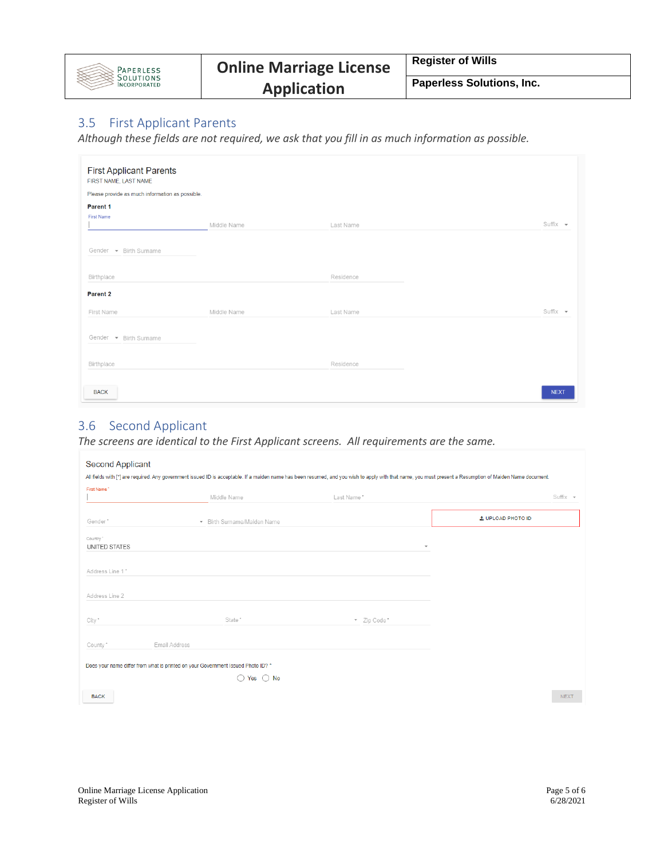

### <span id="page-4-0"></span>3.5 First Applicant Parents

*Although these fields are not required, we ask that you fill in as much information as possible.*

| <b>First Applicant Parents</b><br>FIRST NAME, LAST NAME |             |           |               |
|---------------------------------------------------------|-------------|-----------|---------------|
| Please provide as much information as possible.         |             |           |               |
| Parent 1<br><b>First Name</b>                           | Middle Name | Last Name | Suffix $\sim$ |
| Gender $\bullet$ Birth Surname                          |             |           |               |
| Birthplace                                              |             | Residence |               |
| Parent 2<br>First Name                                  | Middle Name | Last Name | $Suffix -$    |
| Gender $\bullet$ Birth Surname                          |             |           |               |
| Birthplace                                              |             | Residence |               |
| <b>BACK</b>                                             |             |           | <b>NEXT</b>   |

### <span id="page-4-1"></span>3.6 Second Applicant

*The screens are identical to the First Applicant screens. All requirements are the same.* 

| First Name*     |                                                                                  |                          |                          |
|-----------------|----------------------------------------------------------------------------------|--------------------------|--------------------------|
|                 | Middle Name                                                                      | Last Name*               | $Suffix -$               |
| Gender*         | • Birth Surname/Maiden Name                                                      |                          | <b>L</b> UPLOAD PHOTO ID |
| Country"        |                                                                                  |                          |                          |
| UNITED STATES   |                                                                                  | $\overline{\phantom{a}}$ |                          |
| Address Line 1* |                                                                                  |                          |                          |
| Address Line 2  |                                                                                  |                          |                          |
| City ^          | State *                                                                          | * Zip Code*              |                          |
| County *        | Email Address                                                                    |                          |                          |
|                 | Does your name differ from what is printed on your Government Issued Photo ID? * |                          |                          |
|                 | $\bigcirc$ Yes $\bigcirc$ No                                                     |                          |                          |